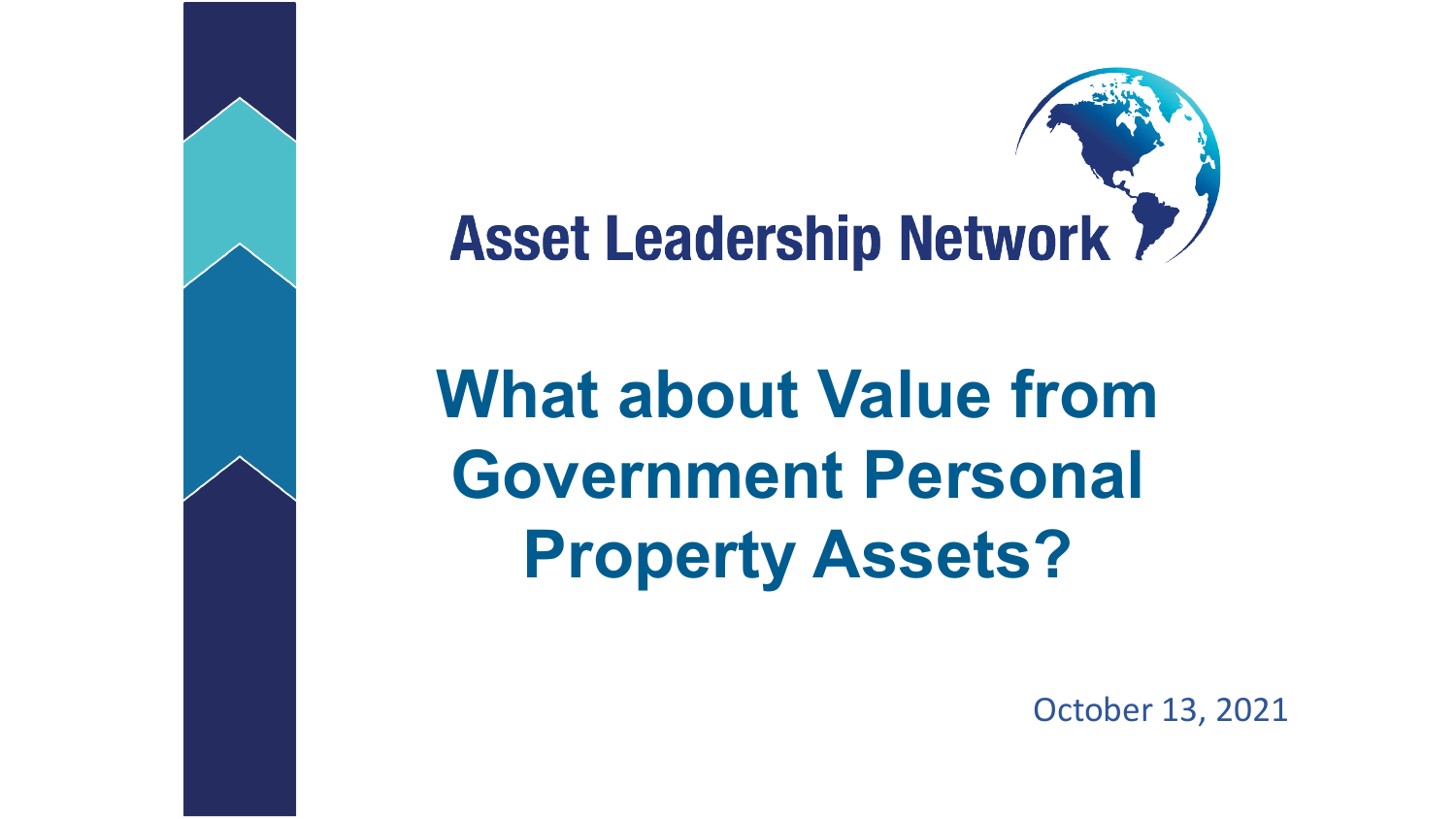

**What about Value from Government Personal Property Assets?**

October 13, 2021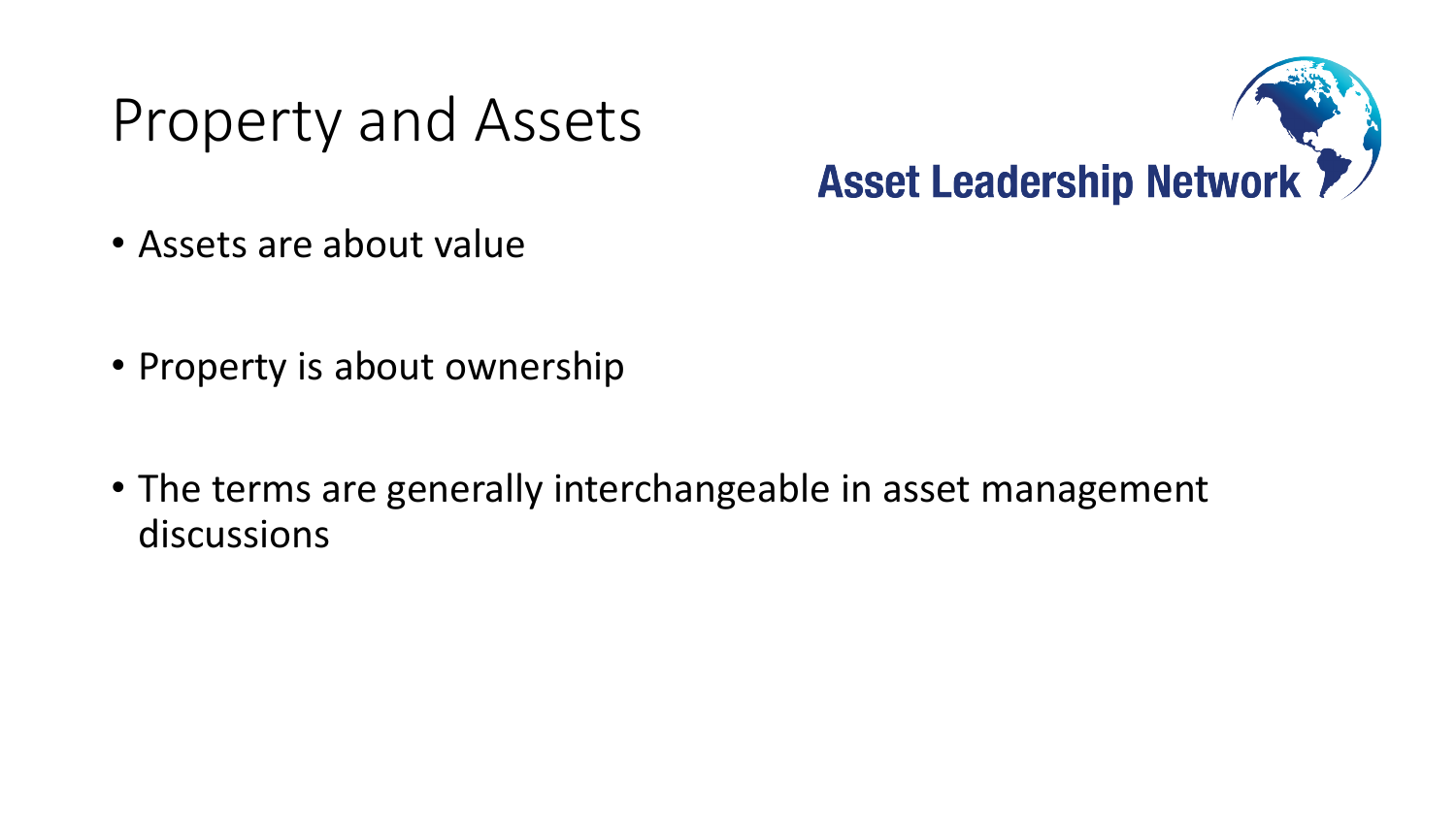## Property and Assets



- Assets are about value
- Property is about ownership
- The terms are generally interchangeable in asset management discussions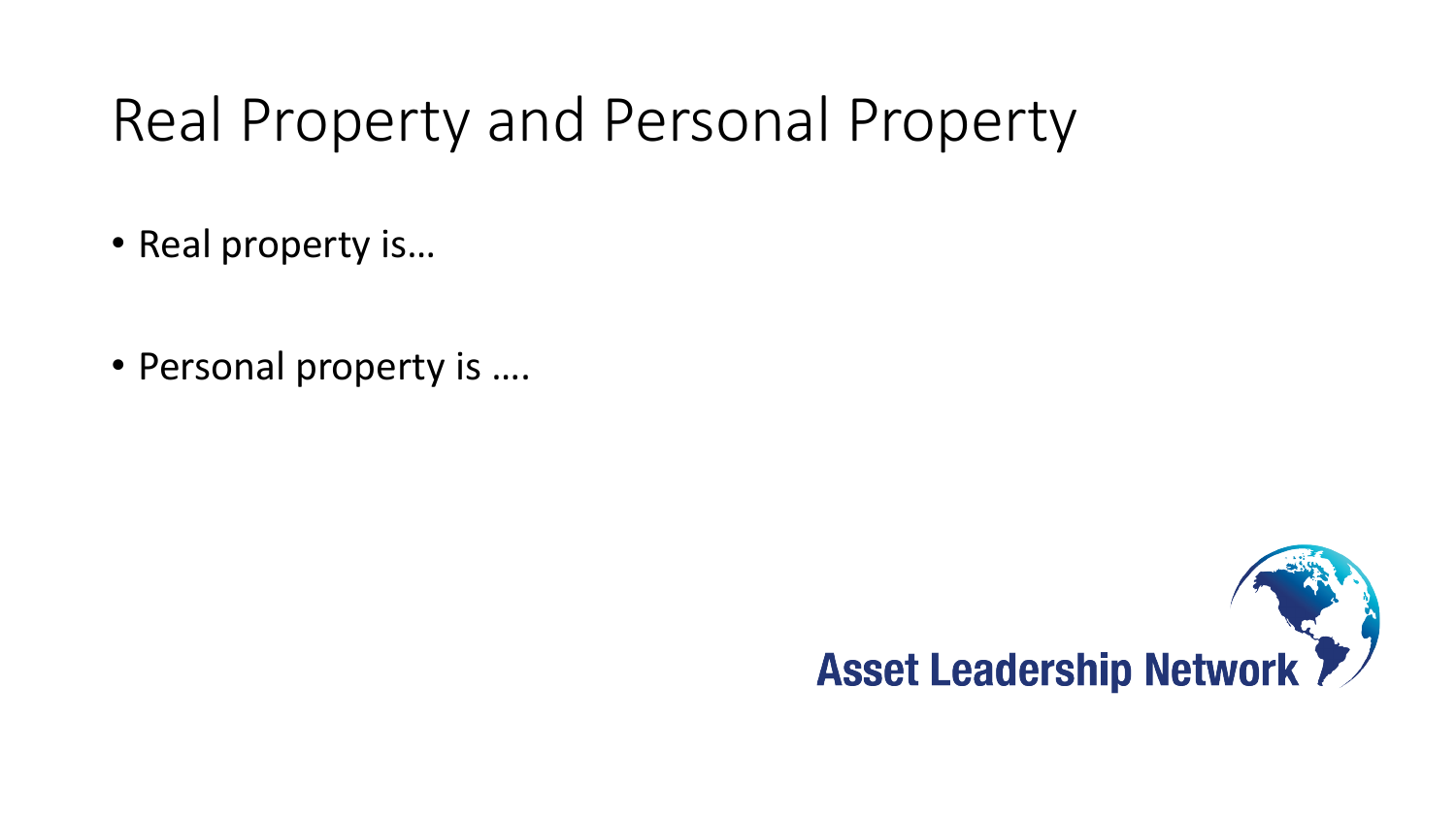# Real Property and Personal Property

- Real property is…
- Personal property is ….

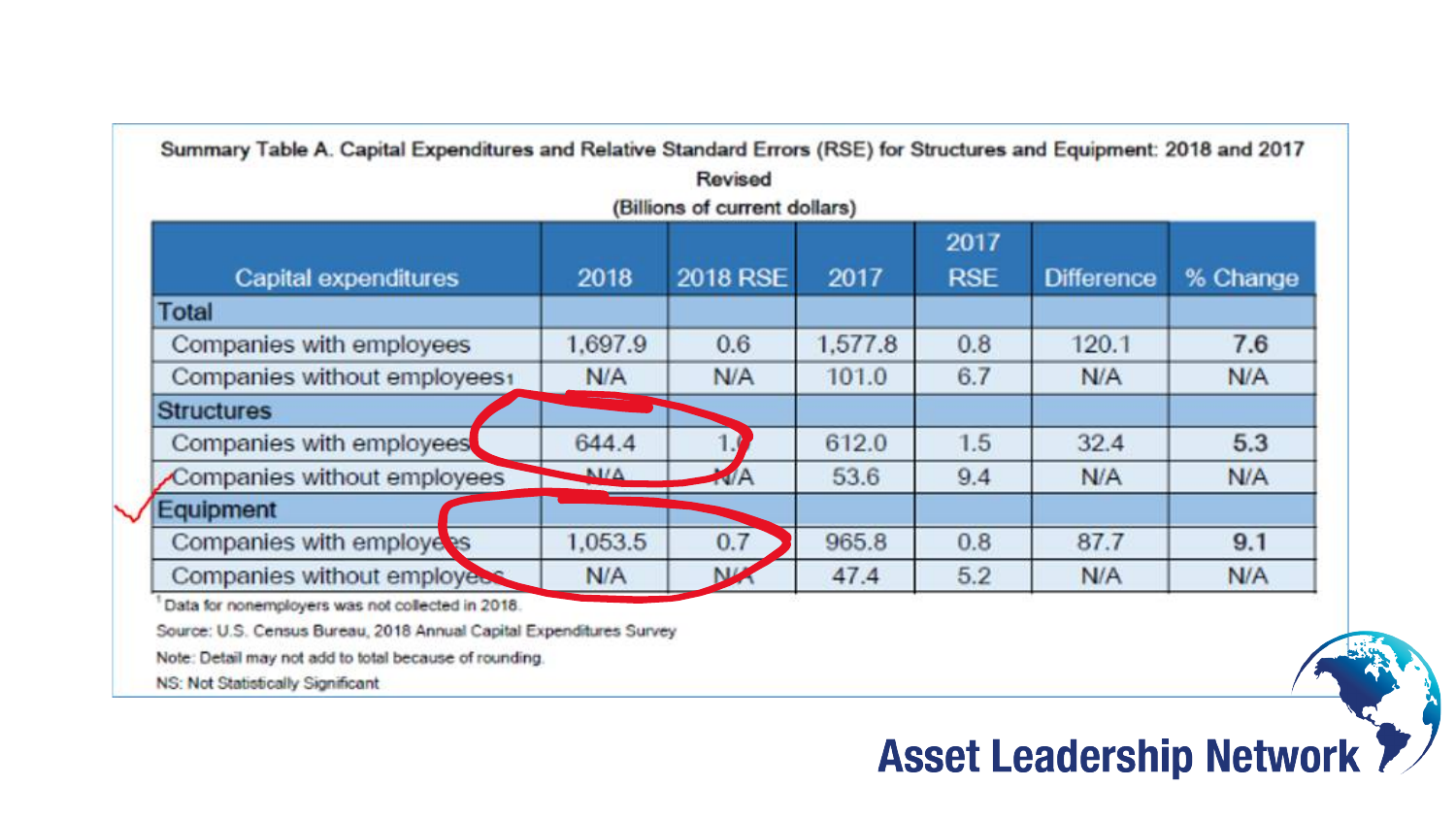| Capital expenditures         | 2018         | <b>2018 RSE</b> | 2017    | 2017<br><b>RSE</b> | <b>Difference</b> | % Change |
|------------------------------|--------------|-----------------|---------|--------------------|-------------------|----------|
| <b>Total</b>                 |              |                 |         |                    |                   |          |
| Companies with employees     | 1.697.9      | 0.6             | 1,577.8 | 0.8                | 120.1             | 7.6      |
| Companies without employees1 | N/A          | N/A             | 101.0   | 6.7                | N/A               | N/A      |
| <b>Structures</b>            |              |                 |         |                    |                   |          |
| Companies with employees     | 644.4        |                 | 612.0   | 1.5                | 32.4              | 5.3      |
| Companies without employees  | $\Delta$ VIA | <b>NA</b>       | 53.6    | 9.4                | N/A               | N/A      |
| Equipment                    |              |                 |         |                    |                   |          |
| Companies with employers     | 1,053.5      | 0.7             | 965.8   | 0.8                | 87.7              | 9.1      |
| Companies without employes   | N/A          | N <sup>D</sup>  | 47.4    | 5.2                | N/A               | N/A      |

#### **Asset Leadership Network 7/**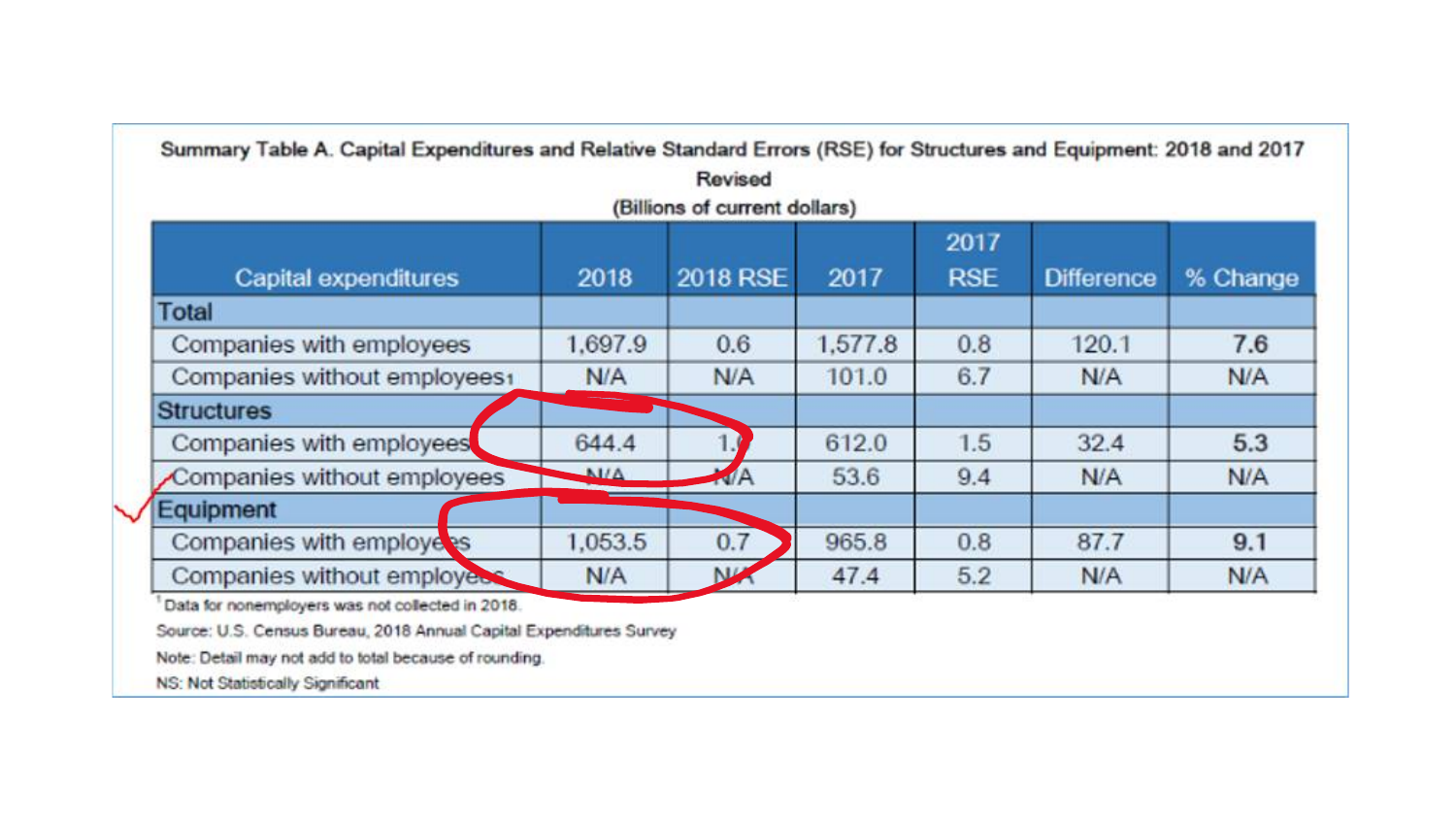| Capital expenditures         | 2018         | 2018 RSE       | 2017    | 2017<br><b>RSE</b> | <b>Difference</b> | % Change |
|------------------------------|--------------|----------------|---------|--------------------|-------------------|----------|
| Total                        |              |                |         |                    |                   |          |
| Companies with employees     | 1,697.9      | 0.6            | 1,577.8 | 0.8                | 120.1             | 7.6      |
| Companies without employees1 | N/A          | N/A            | 101.0   | 6.7                | N/A               | N/A      |
| <b>Structures</b>            |              |                |         |                    |                   |          |
| Companies with employees     | 644.4        |                | 612.0   | 1.5                | 32.4              | 5.3      |
| Companies without employees  | $\Delta$ VIA | MA             | 53.6    | 9.4                | N/A               | N/A      |
| Equipment                    |              |                |         |                    |                   |          |
| Companies with employees     | 1,053.5      | 0.7            | 965.8   | 0.8                | 87.7              | 9.1      |
| Companies without employees  | N/A          | N <sub>1</sub> | 47.4    | 5.2                | N/A               | N/A      |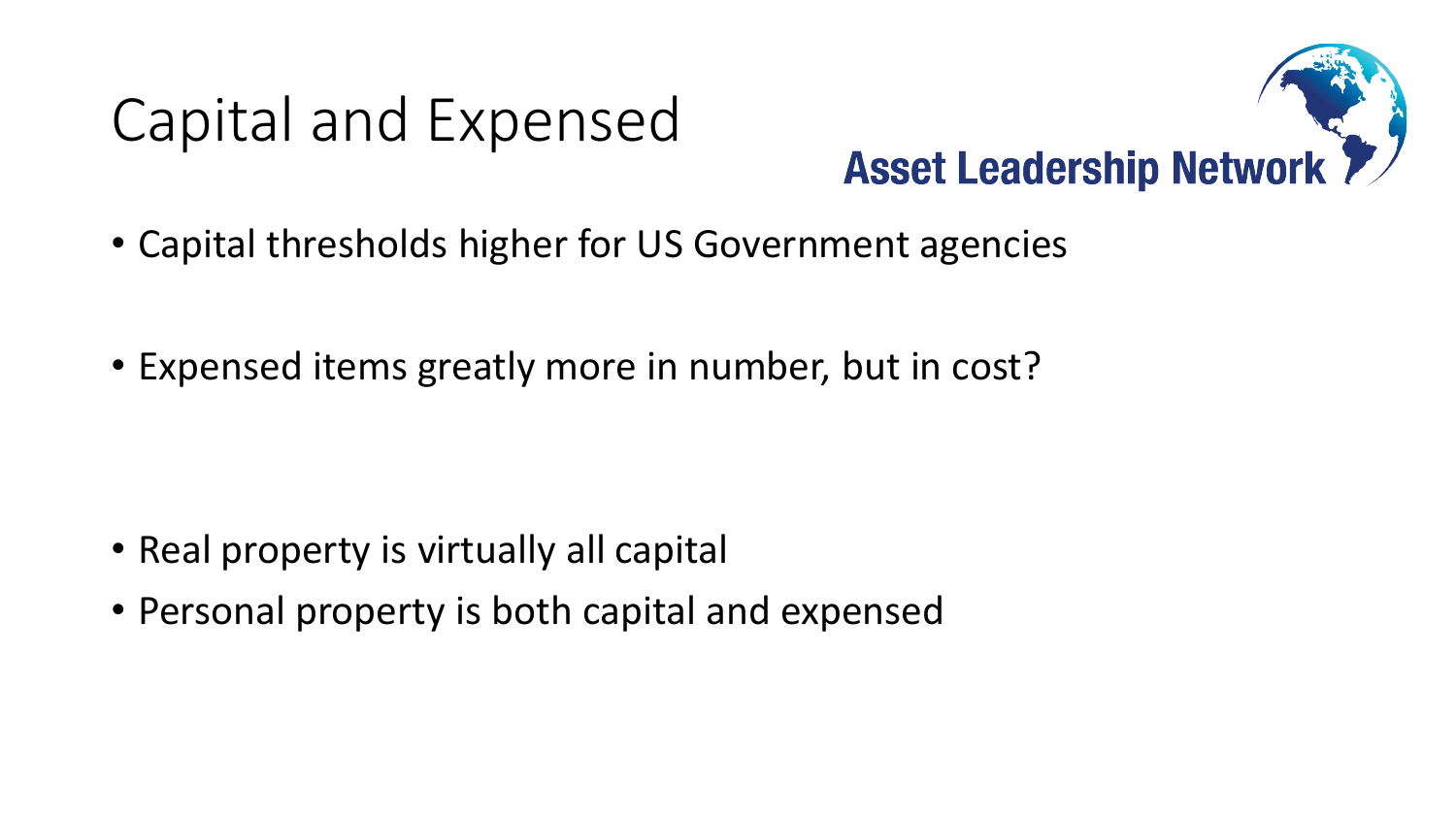# Capital and Expensed



- Capital thresholds higher for US Government agencies
- Expensed items greatly more in number, but in cost?

- Real property is virtually all capital
- Personal property is both capital and expensed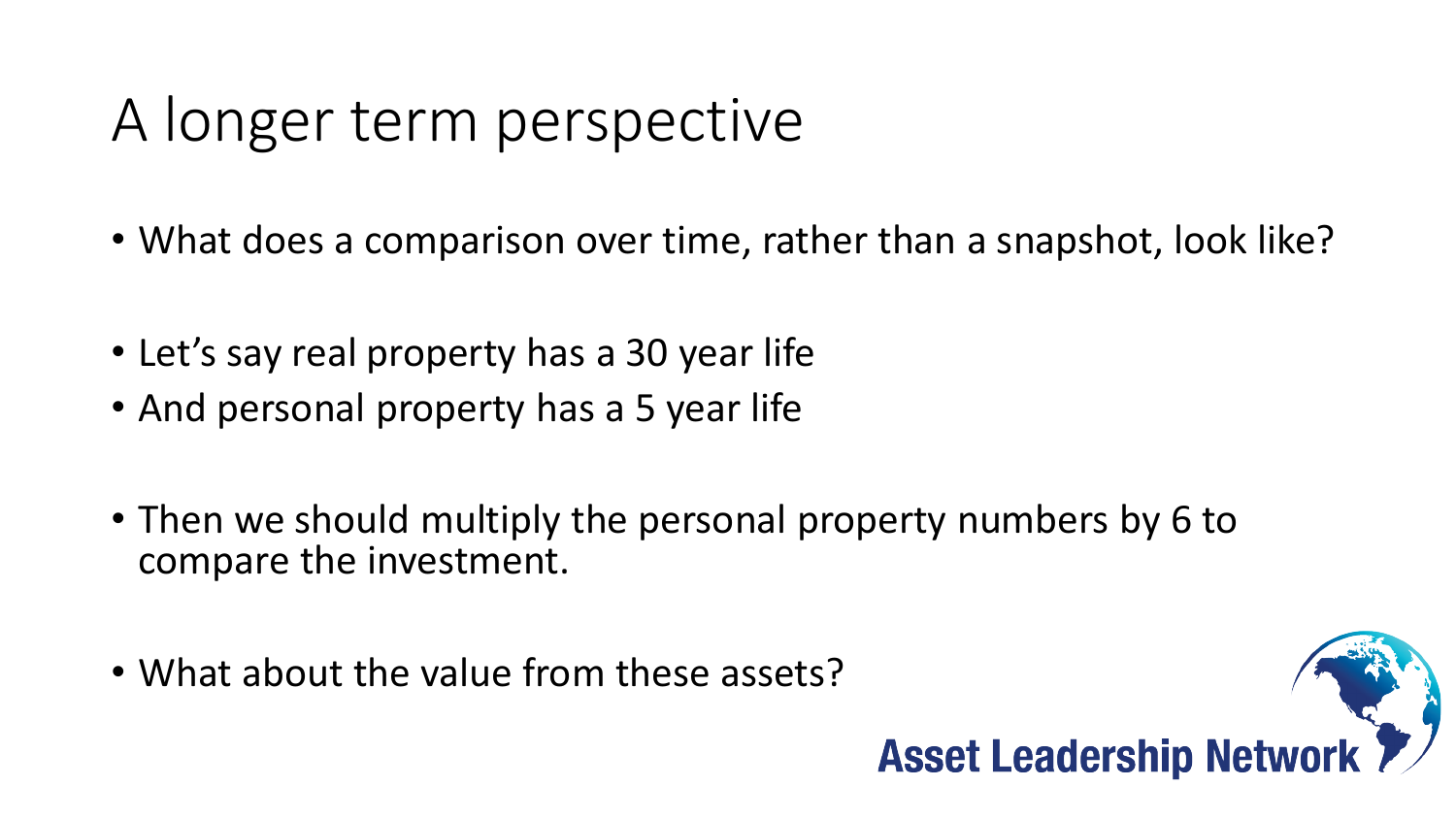# A longer term perspective

- What does a comparison over time, rather than a snapshot, look like?
- Let's say real property has a 30 year life
- And personal property has a 5 year life
- Then we should multiply the personal property numbers by 6 to compare the investment.
- What about the value from these assets?